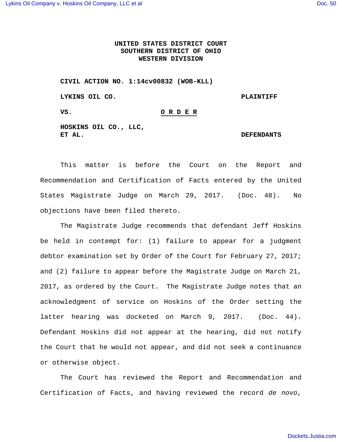## **UNITED STATES DISTRICT COURT SOUTHERN DISTRICT OF OHIO WESTERN DIVISION**

**CIVIL ACTION NO. 1:14cv00832 (WOB-KLL)**

**LYKINS OIL CO. PLAINTIFF**

## **VS. O R D E R**

**HOSKINS OIL CO., LLC,**

## **ET AL. DEFENDANTS**

This matter is before the Court on the Report and Recommendation and Certification of Facts entered by the United States Magistrate Judge on March 29, 2017. (Doc. 48). No objections have been filed thereto.

The Magistrate Judge recommends that defendant Jeff Hoskins be held in contempt for: (1) failure to appear for a judgment debtor examination set by Order of the Court for February 27, 2017; and (2) failure to appear before the Magistrate Judge on March 21, 2017, as ordered by the Court. The Magistrate Judge notes that an acknowledgment of service on Hoskins of the Order setting the latter hearing was docketed on March 9, 2017. (Doc. 44). Defendant Hoskins did not appear at the hearing, did not notify the Court that he would not appear, and did not seek a continuance or otherwise object.

The Court has reviewed the Report and Recommendation and Certification of Facts, and having reviewed the record *de novo*,